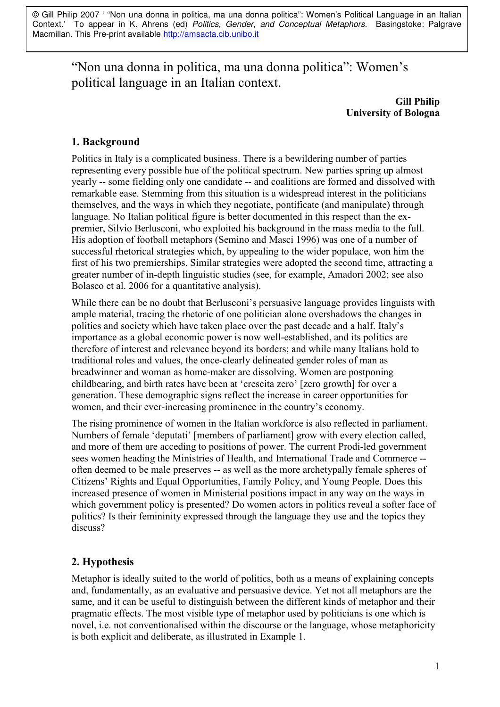© Gill Philip 2007 ' "Non una donna in politica, ma una donna politica": Women's Political Language in an Italian Context.' To appear in K. Ahrens (ed) Politics, Gender, and Conceptual Metaphors. Basingstoke: Palgrave Macmillan. This Pre-print available http://amsacta.cib.unibo.it

"Non una donna in politica, ma una donna politica": Women's political language in an Italian context.

> **Gill Philip University of Bologna**

# 1. Background

Politics in Italy is a complicated business. There is a bewildering number of parties representing every possible hue of the political spectrum. New parties spring up almost yearly -- some fielding only one candidate -- and coalitions are formed and dissolved with remarkable ease. Stemming from this situation is a widespread interest in the politicians themselves, and the ways in which they negotiate, pontificate (and manipulate) through language. No Italian political figure is better documented in this respect than the expremier. Silvio Berlusconi, who exploited his background in the mass media to the full. His adoption of football metaphors (Semino and Masci 1996) was one of a number of successful rhetorical strategies which, by appealing to the wider populace, won him the first of his two premierships. Similar strategies were adopted the second time, attracting a greater number of in-depth linguistic studies (see, for example, Amadori 2002; see also Bolasco et al. 2006 for a quantitative analysis).

While there can be no doubt that Berlusconi's persuasive language provides linguists with ample material, tracing the rhetoric of one politician alone overshadows the changes in politics and society which have taken place over the past decade and a half. Italy's importance as a global economic power is now well-established, and its politics are therefore of interest and relevance beyond its borders; and while many Italians hold to traditional roles and values, the once-clearly delineated gender roles of man as breadwinner and woman as home-maker are dissolving. Women are postponing childbearing, and birth rates have been at 'crescita zero' [zero growth] for over a generation. These demographic signs reflect the increase in career opportunities for women, and their ever-increasing prominence in the country's economy.

The rising prominence of women in the Italian workforce is also reflected in parliament. Numbers of female 'deputati' [members of parliament] grow with every election called, and more of them are acceding to positions of power. The current Prodi-led government sees women heading the Ministries of Health, and International Trade and Commerce -often deemed to be male preserves -- as well as the more archetypally female spheres of Citizens' Rights and Equal Opportunities, Family Policy, and Young People. Does this increased presence of women in Ministerial positions impact in any way on the ways in which government policy is presented? Do women actors in politics reveal a softer face of politics? Is their femininity expressed through the language they use and the topics they discuss?

# 2. Hypothesis

Metaphor is ideally suited to the world of politics, both as a means of explaining concepts and, fundamentally, as an evaluative and persuasive device. Yet not all metaphors are the same, and it can be useful to distinguish between the different kinds of metaphor and their pragmatic effects. The most visible type of metaphor used by politicians is one which is novel, i.e. not conventionalised within the discourse or the language, whose metaphoricity is both explicit and deliberate, as illustrated in Example 1.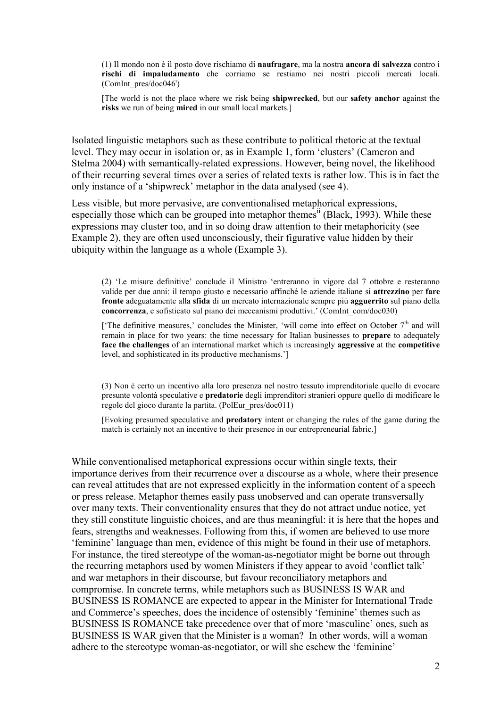(1) Il mondo non è il posto dove rischiamo di **naufragare**, ma la nostra **ancora di salvezza** contro i rischi di impaludamento che corriamo se restiamo nei nostri piccoli mercati locali. (ComInt pres/doc046<sup>i</sup>)

[The world is not the place where we risk being shipwrecked, but our safety anchor against the risks we run of being mired in our small local markets.

Isolated linguistic metaphors such as these contribute to political rhetoric at the textual level. They may occur in isolation or, as in Example 1, form 'clusters' (Cameron and Stelma 2004) with semantically-related expressions. However, being novel, the likelihood of their recurring several times over a series of related texts is rather low. This is in fact the only instance of a 'shipwreck' metaphor in the data analysed (see 4).

Less visible, but more pervasive, are conventionalised metaphorical expressions, especially those which can be grouped into metaphor themes<sup>ii</sup> (Black, 1993). While these expressions may cluster too, and in so doing draw attention to their metaphoricity (see Example 2), they are often used unconsciously, their figurative value hidden by their ubiquity within the language as a whole (Example 3).

(2) 'Le misure definitive' conclude il Ministro 'entreranno in vigore dal 7 ottobre e resteranno valide per due anni: il tempo giusto e necessario affinché le aziende italiane si attrezzino per fare fronte adeguatamente alla sfida di un mercato internazionale sempre più agguerrito sul piano della concorrenza, e sofisticato sul piano dei meccanismi produttivi.' (ComInt com/doc030)

['The definitive measures,' concludes the Minister, 'will come into effect on October  $7<sup>th</sup>$  and will remain in place for two years: the time necessary for Italian businesses to **prepare** to adequately face the challenges of an international market which is increasingly aggressive at the competitive level, and sophisticated in its productive mechanisms.']

(3) Non è certo un incentivo alla loro presenza nel nostro tessuto imprenditoriale quello di evocare presunte volontà speculative e predatorie degli imprenditori stranieri oppure quello di modificare le regole del gioco durante la partita. (PolEur pres/doc011)

Evoking presumed speculative and **predatory** intent or changing the rules of the game during the match is certainly not an incentive to their presence in our entrepreneurial fabric.

While conventionalised metaphorical expressions occur within single texts, their importance derives from their recurrence over a discourse as a whole, where their presence can reveal attitudes that are not expressed explicitly in the information content of a speech or press release. Metaphor themes easily pass unobserved and can operate transversally over many texts. Their conventionality ensures that they do not attract undue notice, yet they still constitute linguistic choices, and are thus meaningful: it is here that the hopes and fears, strengths and weaknesses. Following from this, if women are believed to use more 'feminine' language than men, evidence of this might be found in their use of metaphors. For instance, the tired stereotype of the woman-as-negotiator might be borne out through the recurring metaphors used by women Ministers if they appear to avoid 'conflict talk' and war metaphors in their discourse, but favour reconciliatory metaphors and compromise. In concrete terms, while metaphors such as BUSINESS IS WAR and BUSINESS IS ROMANCE are expected to appear in the Minister for International Trade and Commerce's speeches, does the incidence of ostensibly 'feminine' themes such as BUSINESS IS ROMANCE take precedence over that of more 'masculine' ones, such as BUSINESS IS WAR given that the Minister is a woman? In other words, will a woman adhere to the stereotype woman-as-negotiator, or will she eschew the 'feminine'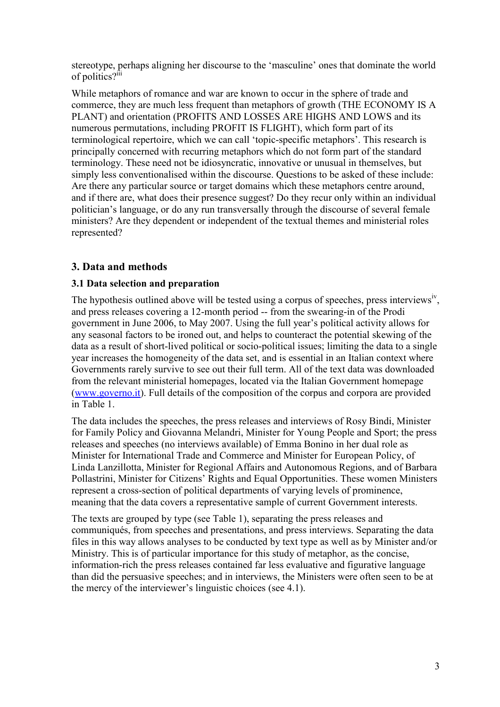stereotype, perhaps aligning her discourse to the 'masculine' ones that dominate the world of politics?<sup>111</sup>

While metaphors of romance and war are known to occur in the sphere of trade and commerce, they are much less frequent than metaphors of growth (THE ECONOMY IS A PLANT) and orientation (PROFITS AND LOSSES ARE HIGHS AND LOWS and its numerous permutations, including PROFIT IS FLIGHT), which form part of its terminological repertoire, which we can call 'topic-specific metaphors'. This research is principally concerned with recurring metaphors which do not form part of the standard terminology. These need not be idiosyncratic, innovative or unusual in themselves, but simply less conventionalised within the discourse. Ouestions to be asked of these include: Are there any particular source or target domains which these metaphors centre around. and if there are, what does their presence suggest? Do they recur only within an individual politician's language, or do any run transversally through the discourse of several female ministers? Are they dependent or independent of the textual themes and ministerial roles represented?

# 3. Data and methods

## 3.1 Data selection and preparation

The hypothesis outlined above will be tested using a corpus of speeches, press interviews<sup>iv</sup>, and press releases covering a 12-month period -- from the swearing-in of the Prodi government in June 2006, to May 2007. Using the full year's political activity allows for any seasonal factors to be ironed out, and helps to counteract the potential skewing of the data as a result of short-lived political or socio-political issues: limiting the data to a single year increases the homogeneity of the data set, and is essential in an Italian context where Governments rarely survive to see out their full term. All of the text data was downloaded from the relevant ministerial homepages, located via the Italian Government homepage (www.governo.it). Full details of the composition of the corpus and corpora are provided in Table 1.

The data includes the speeches, the press releases and interviews of Rosy Bindi, Minister for Family Policy and Giovanna Melandri, Minister for Young People and Sport; the press releases and speeches (no interviews available) of Emma Bonino in her dual role as Minister for International Trade and Commerce and Minister for European Policy, of Linda Lanzillotta, Minister for Regional Affairs and Autonomous Regions, and of Barbara Pollastrini, Minister for Citizens' Rights and Equal Opportunities. These women Ministers represent a cross-section of political departments of varying levels of prominence, meaning that the data covers a representative sample of current Government interests.

The texts are grouped by type (see Table 1), separating the press releases and communiqués, from speeches and presentations, and press interviews. Separating the data files in this way allows analyses to be conducted by text type as well as by Minister and/or Ministry. This is of particular importance for this study of metaphor, as the concise, information-rich the press releases contained far less evaluative and figurative language than did the persuasive speeches; and in interviews, the Ministers were often seen to be at the mercy of the interviewer's linguistic choices (see 4.1).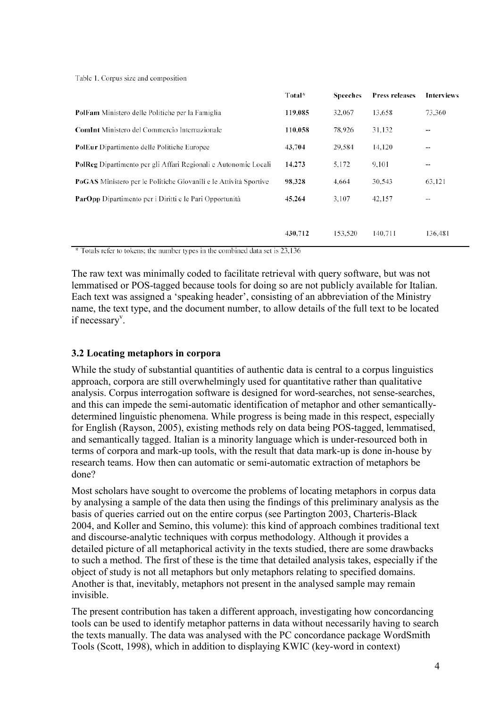Table 1. Corpus size and composition

|                                                                   | Total*  | <b>Speeches</b> | Press releases | Interviews               |
|-------------------------------------------------------------------|---------|-----------------|----------------|--------------------------|
| <b>PolFam</b> Ministero delle Politiche per la Famiglia           | 119,085 | 32,067          | 13,658         | 73,360                   |
| <b>ComInt</b> Ministero del Commercio Internazionale              | 110,058 | 78,926          | 31,132         | $- -$                    |
| PolEur Dipartimento delle Politiche Europee                       | 43,704  | 29.584          | 14.120         | $\overline{\phantom{a}}$ |
| PolReg Dipartimento per gli Affari Regionali e Autonomie Locali   | 14,273  | 5,172           | 9.101          | $\overline{\phantom{a}}$ |
| PoGAS Ministero per le Politiche Giovanili e le Attività Sportive | 98,328  | 4.664           | 30,543         | 63,121                   |
| ParOpp Dipartimento per i Diritti e le Pari Opportunità           | 45,264  | 3.107           | 42.157         | $\overline{\phantom{a}}$ |
|                                                                   |         |                 |                |                          |
|                                                                   | 430,712 | 153,520         | 140,711        | 136.481                  |

\* Totals refer to tokens; the number types in the combined data set is 23,136

The raw text was minimally coded to facilitate retrieval with query software, but was not lemmatised or POS-tagged because tools for doing so are not publicly available for Italian. Each text was assigned a 'speaking header', consisting of an abbreviation of the Ministry name, the text type, and the document number, to allow details of the full text to be located if necessary<sup>v</sup>.

#### 3.2 Locating metaphors in corpora

While the study of substantial quantities of authentic data is central to a corpus linguistics approach, corpora are still overwhelmingly used for quantitative rather than qualitative analysis. Corpus interrogation software is designed for word-searches, not sense-searches. and this can impede the semi-automatic identification of metaphor and other semanticallydetermined linguistic phenomena. While progress is being made in this respect, especially for English (Rayson, 2005), existing methods rely on data being POS-tagged, lemmatised, and semantically tagged. Italian is a minority language which is under-resourced both in terms of corpora and mark-up tools, with the result that data mark-up is done in-house by research teams. How then can automatic or semi-automatic extraction of metaphors be done?

Most scholars have sought to overcome the problems of locating metaphors in corpus data by analysing a sample of the data then using the findings of this preliminary analysis as the basis of queries carried out on the entire corpus (see Partington 2003, Charteris-Black 2004, and Koller and Semino, this volume): this kind of approach combines traditional text and discourse-analytic techniques with corpus methodology. Although it provides a detailed picture of all metaphorical activity in the texts studied, there are some drawbacks to such a method. The first of these is the time that detailed analysis takes, especially if the object of study is not all metaphors but only metaphors relating to specified domains. Another is that, inevitably, metaphors not present in the analysed sample may remain invisible

The present contribution has taken a different approach, investigating how concordancing tools can be used to identify metaphor patterns in data without necessarily having to search the texts manually. The data was analysed with the PC concordance package WordSmith Tools (Scott, 1998), which in addition to displaying KWIC (key-word in context)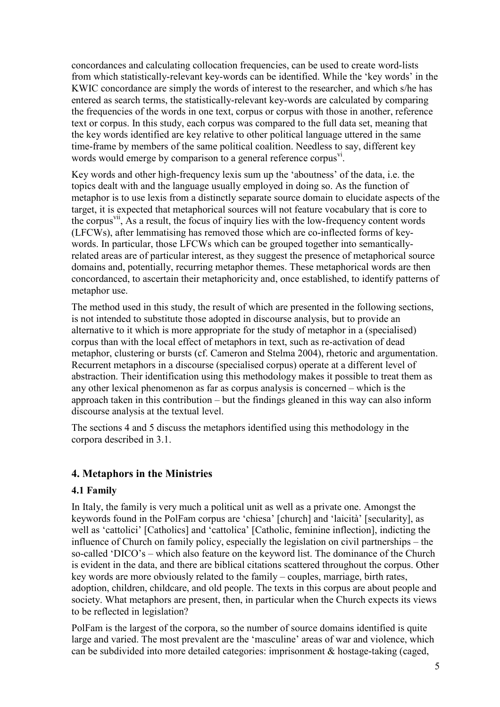concordances and calculating collocation frequencies, can be used to create word-lists from which statistically-relevant key-words can be identified. While the 'key words' in the KWIC concordance are simply the words of interest to the researcher, and which s/he has entered as search terms, the statistically-relevant key-words are calculated by comparing the frequencies of the words in one text, corpus or corpus with those in another, reference text or corpus. In this study, each corpus was compared to the full data set, meaning that the key words identified are key relative to other political language uttered in the same time-frame by members of the same political coalition. Needless to say, different key words would emerge by comparison to a general reference corpus<sup>y1</sup>.

Key words and other high-frequency lexis sum up the 'aboutness' of the data, i.e. the topics dealt with and the language usually employed in doing so. As the function of metaphor is to use lexis from a distinctly separate source domain to elucidate aspects of the target, it is expected that metaphorical sources will not feature vocabulary that is core to the corpus<sup>VII</sup>, As a result, the focus of inquiry lies with the low-frequency content words (LFCWs), after lemmatising has removed those which are co-inflected forms of keywords. In particular, those LFCWs which can be grouped together into semanticallyrelated areas are of particular interest, as they suggest the presence of metaphorical source domains and, potentially, recurring metaphor themes. These metaphorical words are then concordanced, to ascertain their metaphoricity and, once established, to identify patterns of metaphor use.

The method used in this study, the result of which are presented in the following sections, is not intended to substitute those adopted in discourse analysis, but to provide an alternative to it which is more appropriate for the study of metaphor in a (specialised) corpus than with the local effect of metaphors in text, such as re-activation of dead metaphor, clustering or bursts (cf. Cameron and Stelma 2004), rhetoric and argumentation. Recurrent metaphors in a discourse (specialised corpus) operate at a different level of abstraction. Their identification using this methodology makes it possible to treat them as any other lexical phenomenon as far as corpus analysis is concerned – which is the approach taken in this contribution – but the findings gleaned in this way can also inform discourse analysis at the textual level.

The sections 4 and 5 discuss the metaphors identified using this methodology in the corpora described in 3.1.

## 4. Metaphors in the Ministries

## 4.1 Family

In Italy, the family is very much a political unit as well as a private one. Amongst the keywords found in the PolFam corpus are 'chiesa' [church] and 'laicità' [secularity], as well as 'cattolici' [Catholics] and 'cattolica' [Catholic, feminine inflection], indicting the influence of Church on family policy, especially the legislation on civil partnerships – the so-called 'DICO's – which also feature on the keyword list. The dominance of the Church is evident in the data, and there are biblical citations scattered throughout the corpus. Other key words are more obviously related to the family – couples, marriage, birth rates, adoption, children, childcare, and old people. The texts in this corpus are about people and society. What metaphors are present, then, in particular when the Church expects its views to be reflected in legislation?

PolFam is the largest of the corpora, so the number of source domains identified is quite large and varied. The most prevalent are the 'masculine' areas of war and violence, which can be subdivided into more detailed categories: imprisonment & hostage-taking (caged,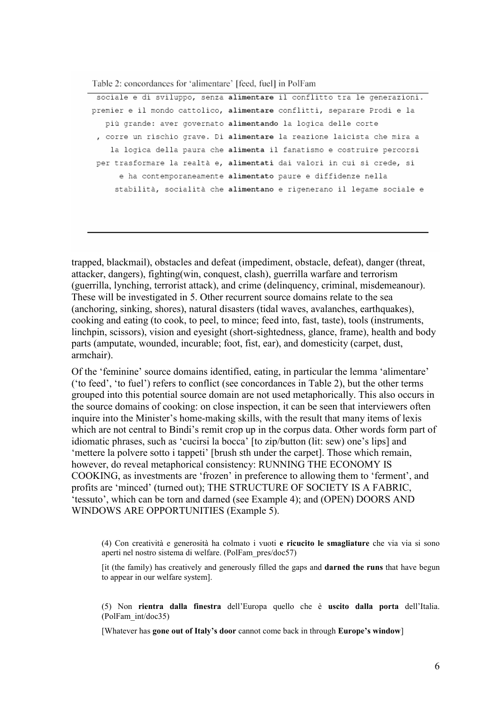Table 2: concordances for 'alimentare' [feed, fuel] in PolFam

sociale e di sviluppo, senza alimentare il conflitto tra le generazioni. premier e il mondo cattolico, alimentare conflitti, separare Prodi e la più grande: aver governato alimentando la logica delle corte , corre un rischio grave. Di alimentare la reazione laicista che mira a la logica della paura che alimenta il fanatismo e costruire percorsi per trasformare la realtà e, alimentati dai valori in cui si crede, si e ha contemporaneamente alimentato paure e diffidenze nella stabilità, socialità che alimentano e rigenerano il legame sociale e

trapped, blackmail), obstacles and defeat (impediment, obstacle, defeat), danger (threat, attacker, dangers). fighting(win. conquest, clash), guerrilla warfare and terrorism (guerrilla, lynching, terrorist attack), and crime (delinguency, criminal, misdemeanour). These will be investigated in 5. Other recurrent source domains relate to the sea (anchoring, sinking, shores), natural disasters (tidal waves, avalanches, earthquakes). cooking and eating (to cook, to peel, to mince; feed into, fast, taste), tools (instruments, linchpin, scissors), vision and eyesight (short-sightedness, glance, frame), health and body parts (amputate, wounded, incurable; foot, fist, ear), and domesticity (carpet, dust, armchair).

Of the 'feminine' source domains identified, eating, in particular the lemma 'alimentare' ('to feed', 'to fuel') refers to conflict (see concordances in Table 2), but the other terms grouped into this potential source domain are not used metaphorically. This also occurs in the source domains of cooking: on close inspection, it can be seen that interviewers often inquire into the Minister's home-making skills, with the result that many items of lexis which are not central to Bindi's remit crop up in the corpus data. Other words form part of idiomatic phrases, such as 'cucirsi la bocca' [to zip/button (lit: sew) one's lips] and 'mettere la polvere sotto i tappeti' [brush sth under the carpet]. Those which remain, however, do reveal metaphorical consistency: RUNNING THE ECONOMY IS COOKING, as investments are 'frozen' in preference to allowing them to 'ferment', and profits are 'minced' (turned out); THE STRUCTURE OF SOCIETY IS A FABRIC. 'tessuto', which can be torn and darned (see Example 4); and (OPEN) DOORS AND WINDOWS ARE OPPORTUNITIES (Example 5).

(4) Con creatività e generosità ha colmato i vuoti e ricucito le smagliature che via via si sono aperti nel nostro sistema di welfare. (PolFam pres/doc57)

[it (the family) has creatively and generously filled the gaps and **darned the runs** that have begun to appear in our welfare system].

(5) Non rientra dalla finestra dell'Europa quello che è uscito dalla porta dell'Italia. (PolFam int/doc35)

[Whatever has gone out of Italy's door cannot come back in through Europe's window]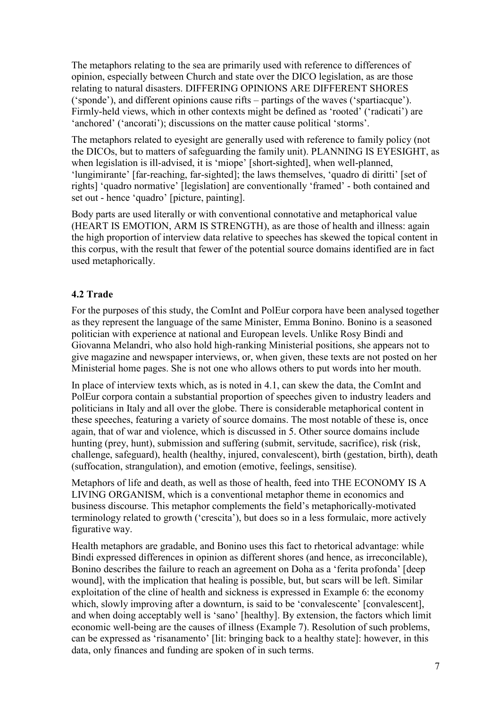The metaphors relating to the sea are primarily used with reference to differences of opinion, especially between Church and state over the DICO legislation, as are those relating to natural disasters. DIFFERING OPINIONS ARE DIFFERENT SHORES ('sponde'), and different opinions cause rifts – partings of the waves ('spartiacque'). Firmly-held views, which in other contexts might be defined as 'rooted' ('radicati') are 'anchored' ('ancorati'); discussions on the matter cause political 'storms'.

The metaphors related to eyesight are generally used with reference to family policy (not the DICOs, but to matters of safeguarding the family unit). PLANNING IS EYESIGHT, as when legislation is ill-advised, it is 'miope' [short-sighted], when well-planned, 'lungimirante' [far-reaching, far-sighted]; the laws themselves, 'quadro di diritti' [set of rights] 'quadro normative' [legislation] are conventionally 'framed' - both contained and set out - hence 'quadro' [picture, painting].

Body parts are used literally or with conventional connotative and metaphorical value (HEART IS EMOTION, ARM IS STRENGTH), as are those of health and illness: again the high proportion of interview data relative to speeches has skewed the topical content in this corpus, with the result that fewer of the potential source domains identified are in fact used metaphorically.

# 4.2 Trade

For the purposes of this study, the ComInt and PolEur corpora have been analysed together as they represent the language of the same Minister, Emma Bonino. Bonino is a seasoned politician with experience at national and European levels. Unlike Rosy Bindi and Giovanna Melandri, who also hold high-ranking Ministerial positions, she appears not to give magazine and newspaper interviews, or, when given, these texts are not posted on her Ministerial home pages. She is not one who allows others to put words into her mouth.

In place of interview texts which, as is noted in 4.1, can skew the data, the ComInt and PolEur corpora contain a substantial proportion of speeches given to industry leaders and politicians in Italy and all over the globe. There is considerable metaphorical content in these speeches, featuring a variety of source domains. The most notable of these is, once again, that of war and violence, which is discussed in 5. Other source domains include hunting (prey, hunt), submission and suffering (submit, servitude, sacrifice), risk (risk, challenge, safeguard), health (healthy, injured, convalescent), birth (gestation, birth), death (suffocation, strangulation), and emotion (emotive, feelings, sensitise).

Metaphors of life and death, as well as those of health, feed into THE ECONOMY IS A LIVING ORGANISM, which is a conventional metaphor theme in economics and business discourse. This metaphor complements the field's metaphorically-motivated terminology related to growth ('crescita'), but does so in a less formulaic, more actively figurative way.

Health metaphors are gradable, and Bonino uses this fact to rhetorical advantage: while Bindi expressed differences in opinion as different shores (and hence, as irreconcilable), Bonino describes the failure to reach an agreement on Doha as a 'ferita profonda' [deep] wound], with the implication that healing is possible, but, but scars will be left. Similar exploitation of the cline of health and sickness is expressed in Example 6: the economy which, slowly improving after a downturn, is said to be 'convalescente' [convalescent], and when doing acceptably well is 'sano' [healthy]. By extension, the factors which limit economic well-being are the causes of illness (Example 7). Resolution of such problems, can be expressed as 'risanamento' [lit: bringing back to a healthy state]: however, in this data, only finances and funding are spoken of in such terms.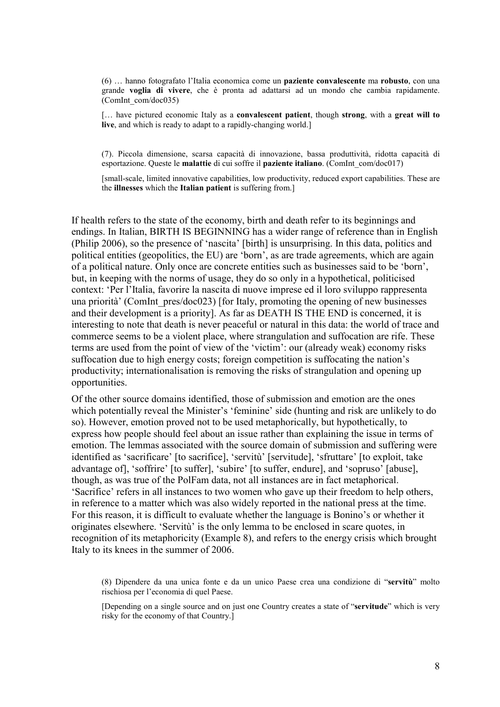(6) ... hanno fotografato l'Italia economica come un **paziente convalescente** ma **robusto**, con una grande voglia di vivere, che è pronta ad adattarsi ad un mondo che cambia rapidamente. (ComInt com/doc035)

[... have pictured economic Italy as a convalescent patient, though strong, with a great will to live, and which is ready to adapt to a rapidly-changing world.

(7). Piccola dimensione, scarsa capacità di innovazione, bassa produttività, ridotta capacità di esportazione. Queste le malattie di cui soffre il paziente italiano. (ComInt com/doc017)

[small-scale, limited innovative capabilities, low productivity, reduced export capabilities. These are the illnesses which the Italian patient is suffering from.]

If health refers to the state of the economy, birth and death refer to its beginnings and endings. In Italian, BIRTH IS BEGINNING has a wider range of reference than in English (Philip 2006), so the presence of 'nascita' [birth] is unsurprising. In this data, politics and political entities (geopolitics, the EU) are 'born', as are trade agreements, which are again of a political nature. Only once are concrete entities such as businesses said to be 'born'. but, in keeping with the norms of usage, they do so only in a hypothetical, politicised context: 'Per l'Italia, favorire la nascita di nuove imprese ed il loro sviluppo rappresenta una priorità' (ComInt pres/doc023) [for Italy, promoting the opening of new businesses and their development is a priority]. As far as DEATH IS THE END is concerned, it is interesting to note that death is never peaceful or natural in this data: the world of trace and commerce seems to be a violent place, where strangulation and suffocation are rife. These terms are used from the point of view of the 'victim': our (already weak) economy risks suffocation due to high energy costs; foreign competition is suffocating the nation's productivity; internationalisation is removing the risks of strangulation and opening up opportunities.

Of the other source domains identified, those of submission and emotion are the ones which potentially reveal the Minister's 'feminine' side (hunting and risk are unlikely to do so). However, emotion proved not to be used metaphorically, but hypothetically, to express how people should feel about an issue rather than explaining the issue in terms of emotion. The lemmas associated with the source domain of submission and suffering were identified as 'sacrificare' [to sacrifice], 'servitù' [servitude], 'sfruttare' [to exploit, take advantage of], 'soffrire' [to suffer], 'subire' [to suffer, endure], and 'sopruso' [abuse], though, as was true of the PolFam data, not all instances are in fact metaphorical. 'Sacrifice' refers in all instances to two women who gave up their freedom to help others. in reference to a matter which was also widely reported in the national press at the time. For this reason, it is difficult to evaluate whether the language is Bonino's or whether it originates elsewhere. 'Servitù' is the only lemma to be enclosed in scare quotes, in recognition of its metaphoricity (Example 8), and refers to the energy crisis which brought Italy to its knees in the summer of 2006.

(8) Dipendere da una unica fonte e da un unico Paese crea una condizione di "servitù" molto rischiosa per l'economia di quel Paese.

[Depending on a single source and on just one Country creates a state of "servitude" which is very risky for the economy of that Country.]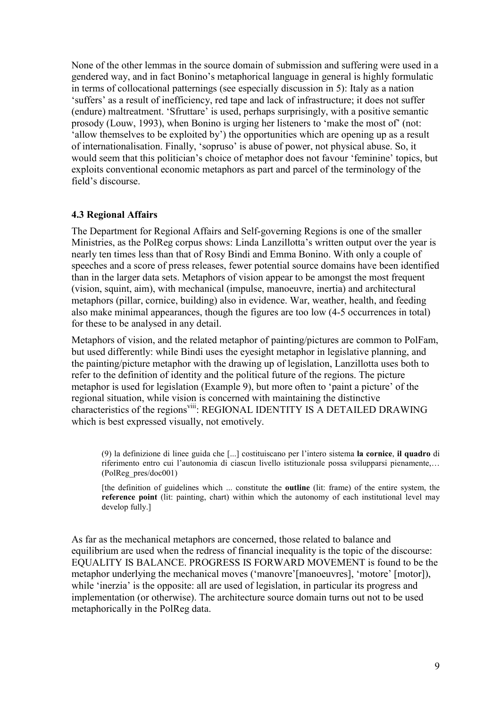None of the other lemmas in the source domain of submission and suffering were used in a gendered way, and in fact Bonino's metaphorical language in general is highly formulatic in terms of collocational patternings (see especially discussion in 5): Italy as a nation 'suffers' as a result of inefficiency, red tape and lack of infrastructure; it does not suffer (endure) maltreatment. 'Sfruttare' is used, perhaps surprisingly, with a positive semantic prosody (Louw, 1993), when Bonino is urging her listeners to 'make the most of' (not: 'allow themselves to be exploited by') the opportunities which are opening up as a result of internationalisation. Finally, 'sopruso' is abuse of power, not physical abuse. So, it would seem that this politician's choice of metaphor does not favour 'feminine' topics, but exploits conventional economic metaphors as part and parcel of the terminology of the field's discourse

#### **4.3 Regional Affairs**

The Department for Regional Affairs and Self-governing Regions is one of the smaller Ministries, as the PolReg corpus shows: Linda Lanzillotta's written output over the year is nearly ten times less than that of Rosy Bindi and Emma Bonino. With only a couple of speeches and a score of press releases, fewer potential source domains have been identified than in the larger data sets. Metaphors of vision appear to be amongst the most frequent (vision, squint, aim), with mechanical (impulse, manoeuvre, inertia) and architectural metaphors (pillar, cornice, building) also in evidence. War, weather, health, and feeding also make minimal appearances, though the figures are too low (4-5 occurrences in total) for these to be analysed in any detail.

Metaphors of vision, and the related metaphor of painting/pictures are common to PolFam, but used differently: while Bindi uses the eyesight metaphor in legislative planning, and the painting/picture metaphor with the drawing up of legislation, Lanzillotta uses both to refer to the definition of identity and the political future of the regions. The picture metaphor is used for legislation (Example 9), but more often to 'paint a picture' of the regional situation, while vision is concerned with maintaining the distinctive characteristics of the regions<sup>viii</sup>: REGIONAL IDENTITY IS A DETAILED DRAWING which is best expressed visually, not emotively.

(9) la definizione di linee guida che [...] costituiscano per l'intero sistema la cornice, il quadro di riferimento entro cui l'autonomia di ciascun livello istituzionale possa svilupparsi pienamente,... (PolReg pres/doc001)

[the definition of guidelines which ... constitute the **outline** (lit: frame) of the entire system, the reference point (lit: painting, chart) within which the autonomy of each institutional level may develop fully.]

As far as the mechanical metaphors are concerned, those related to balance and equilibrium are used when the redress of financial inequality is the topic of the discourse: EQUALITY IS BALANCE. PROGRESS IS FORWARD MOVEMENT is found to be the metaphor underlying the mechanical moves ('manovre' [manoeuvres], 'motore' [motor]), while 'inerzia' is the opposite: all are used of legislation, in particular its progress and implementation (or otherwise). The architecture source domain turns out not to be used metaphorically in the PolReg data.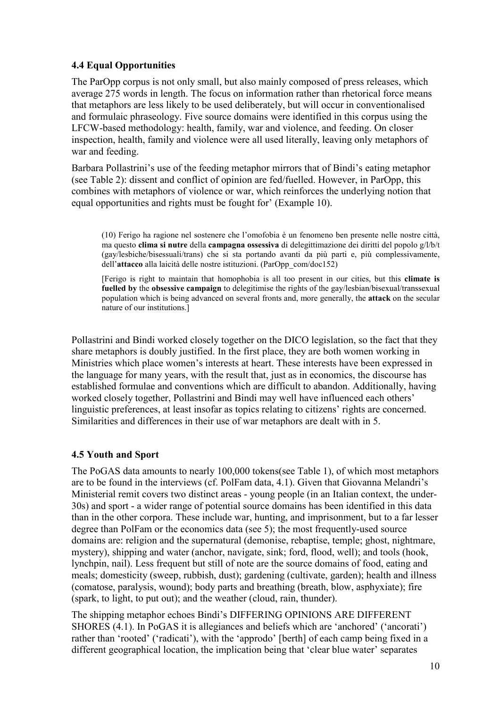## **4.4 Equal Opportunities**

The ParOpp corpus is not only small, but also mainly composed of press releases, which average 275 words in length. The focus on information rather than rhetorical force means that metaphors are less likely to be used deliberately, but will occur in conventionalised and formulaic phraseology. Five source domains were identified in this corpus using the LFCW-based methodology: health, family, war and violence, and feeding. On closer inspection, health, family and violence were all used literally, leaving only metaphors of war and feeding.

Barbara Pollastrini's use of the feeding metaphor mirrors that of Bindi's eating metaphor (see Table 2): dissent and conflict of opinion are fed/fuelled. However, in ParOpp, this combines with metaphors of violence or war, which reinforces the underlying notion that equal opportunities and rights must be fought for' (Example 10).

(10) Ferigo ha ragione nel sostenere che l'omofobia è un fenomeno ben presente nelle nostre città, ma questo clima si nutre della campagna ossessiva di delegittimazione dei diritti del popolo g/l/b/t (gav/lesbiche/bisessuali/trans) che si sta portando avanti da più parti e, più complessivamente. dell'attacco alla laicità delle nostre istituzioni. (ParOpp com/doc152)

[Ferigo is right to maintain that homophobia is all too present in our cities, but this **climate is** fuelled by the obsessive campaign to delegitimise the rights of the gay/lesbian/bisexual/transsexual population which is being advanced on several fronts and, more generally, the attack on the secular nature of our institutions.

Pollastrini and Bindi worked closely together on the DICO legislation, so the fact that they share metaphors is doubly justified. In the first place, they are both women working in Ministries which place women's interests at heart. These interests have been expressed in the language for many years, with the result that, just as in economics, the discourse has established formulae and conventions which are difficult to abandon. Additionally, having worked closely together, Pollastrini and Bindi may well have influenced each others' linguistic preferences, at least insofar as topics relating to citizens' rights are concerned. Similarities and differences in their use of war metaphors are dealt with in 5.

## **4.5 Youth and Sport**

The PoGAS data amounts to nearly 100,000 tokens (see Table 1), of which most metaphors are to be found in the interviews (cf. PolFam data, 4.1). Given that Giovanna Melandri's Ministerial remit covers two distinct areas - young people (in an Italian context, the under-30s) and sport - a wider range of potential source domains has been identified in this data than in the other corpora. These include war, hunting, and imprisonment, but to a far lesser degree than PolFam or the economics data (see 5): the most frequently-used source domains are: religion and the supernatural (demonise, rebaptise, temple; ghost, nightmare, mystery), shipping and water (anchor, navigate, sink; ford, flood, well); and tools (hook, lynchpin, nail). Less frequent but still of note are the source domains of food, eating and meals; domesticity (sweep, rubbish, dust); gardening (cultivate, garden); health and illness (comatose, paralysis, wound); body parts and breathing (breath, blow, asphyxiate); fire (spark, to light, to put out); and the weather (cloud, rain, thunder).

The shipping metaphor echoes Bindi's DIFFERING OPINIONS ARE DIFFERENT SHORES (4.1). In PoGAS it is allegiances and beliefs which are 'anchored' ('ancorati') rather than 'rooted' ('radicati'), with the 'approdo' [berth] of each camp being fixed in a different geographical location, the implication being that 'clear blue water' separates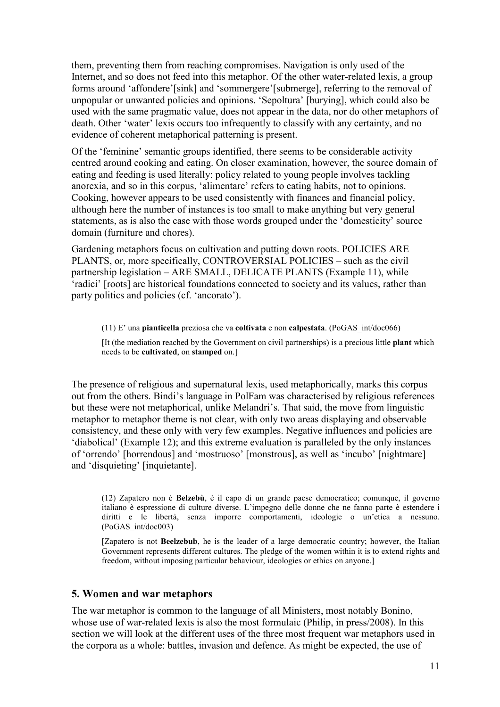them, preventing them from reaching compromises. Navigation is only used of the Internet, and so does not feed into this metaphor. Of the other water-related lexis, a group forms around 'affondere'[sink] and 'sommergere'[submerge], referring to the removal of unpopular or unwanted policies and opinions. 'Sepoltura' [burying], which could also be used with the same pragmatic value, does not appear in the data, nor do other metaphors of death. Other 'water' lexis occurs too infrequently to classify with any certainty, and no evidence of coherent metaphorical patterning is present.

Of the 'feminine' semantic groups identified, there seems to be considerable activity centred around cooking and eating. On closer examination, however, the source domain of eating and feeding is used literally; policy related to young people involves tackling anorexia, and so in this corpus, 'alimentare' refers to eating habits, not to opinions. Cooking, however appears to be used consistently with finances and financial policy. although here the number of instances is too small to make anything but very general statements, as is also the case with those words grouped under the 'domesticity' source domain (furniture and chores).

Gardening metaphors focus on cultivation and putting down roots. POLICIES ARE PLANTS, or, more specifically, CONTROVERSIAL POLICIES – such as the civil partnership legislation – ARE SMALL, DELICATE PLANTS (Example 11), while 'radici' [roots] are historical foundations connected to society and its values, rather than party politics and policies (cf. 'ancorato').

 $(11)$  E' una pianticella preziosa che va coltivata e non calpestata. (PoGAS int/doc066) [It (the mediation reached by the Government on civil partnerships) is a precious little plant which needs to be cultivated, on stamped on.]

The presence of religious and supernatural lexis, used metaphorically, marks this corpus out from the others. Bindi's language in PolFam was characterised by religious references but these were not metaphorical, unlike Melandri's. That said, the move from linguistic metaphor to metaphor theme is not clear, with only two areas displaying and observable consistency, and these only with very few examples. Negative influences and policies are 'diabolical' (Example 12); and this extreme evaluation is paralleled by the only instances of 'orrendo' [horrendous] and 'mostruoso' [monstrous], as well as 'incubo' [nightmare] and 'disquieting' [inquietante].

(12) Zapatero non è **Belzebù**, è il capo di un grande paese democratico; comunque, il governo italiano è espressione di culture diverse. L'impegno delle donne che ne fanno parte è estendere i diritti e le libertà, senza imporre comportamenti, ideologie o un'etica a nessuno. (PoGAS int/doc003)

[Zapatero is not **Beelzebub**, he is the leader of a large democratic country; however, the Italian Government represents different cultures. The pledge of the women within it is to extend rights and freedom, without imposing particular behaviour, ideologies or ethics on anyone.

#### 5. Women and war metaphors

The war metaphor is common to the language of all Ministers, most notably Bonino, whose use of war-related lexis is also the most formulaic (Philip, in press/2008). In this section we will look at the different uses of the three most frequent war metaphors used in the corpora as a whole: battles, invasion and defence. As might be expected, the use of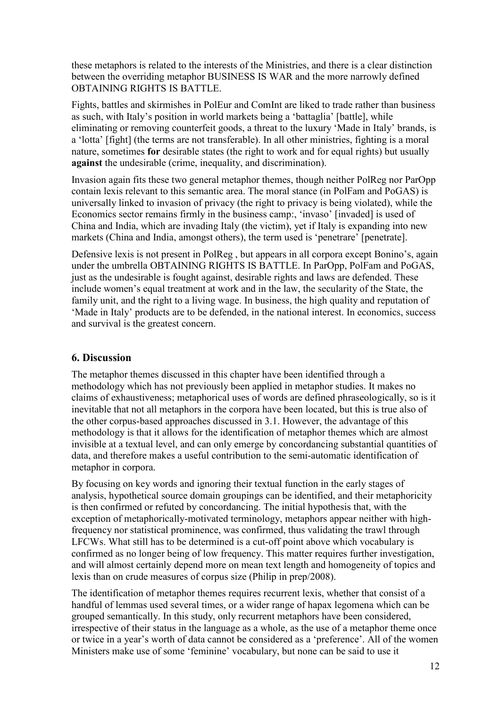these metaphors is related to the interests of the Ministries, and there is a clear distinction between the overriding metaphor BUSINESS IS WAR and the more narrowly defined **OBTAINING RIGHTS IS BATTLE.** 

Fights, battles and skirmishes in PolEur and ComInt are liked to trade rather than business as such, with Italy's position in world markets being a 'battaglia' [battle], while eliminating or removing counterfeit goods, a threat to the luxury 'Made in Italy' brands, is a 'lotta' [fight] (the terms are not transferable). In all other ministries, fighting is a moral nature, sometimes for desirable states (the right to work and for equal rights) but usually **against** the undesirable (crime, inequality, and discrimination).

Invasion again fits these two general metaphor themes, though neither PolReg nor ParOpp contain lexis relevant to this semantic area. The moral stance (in PolFam and PoGAS) is universally linked to invasion of privacy (the right to privacy is being violated), while the Economics sector remains firmly in the business camp:, 'invaso' [invaded] is used of China and India, which are invading Italy (the victim), yet if Italy is expanding into new markets (China and India, amongst others), the term used is 'penetrare' [penetrate].

Defensive lexis is not present in PolReg, but appears in all corpora except Bonino's, again under the umbrella OBTAINING RIGHTS IS BATTLE. In ParOpp. PolFam and PoGAS. just as the undesirable is fought against, desirable rights and laws are defended. These include women's equal treatment at work and in the law, the secularity of the State, the family unit, and the right to a living wage. In business, the high quality and reputation of 'Made in Italy' products are to be defended, in the national interest. In economics, success and survival is the greatest concern.

# **6. Discussion**

The metaphor themes discussed in this chapter have been identified through a methodology which has not previously been applied in metaphor studies. It makes no claims of exhaustiveness; metaphorical uses of words are defined phraseologically, so is it inevitable that not all metaphors in the corpora have been located, but this is true also of the other corpus-based approaches discussed in 3.1. However, the advantage of this methodology is that it allows for the identification of metaphor themes which are almost invisible at a textual level, and can only emerge by concordancing substantial quantities of data, and therefore makes a useful contribution to the semi-automatic identification of metaphor in corpora.

By focusing on key words and ignoring their textual function in the early stages of analysis, hypothetical source domain groupings can be identified, and their metaphoricity is then confirmed or refuted by concordancing. The initial hypothesis that, with the exception of metaphorically-motivated terminology, metaphors appear neither with highfrequency nor statistical prominence, was confirmed, thus validating the trawl through LFCWs. What still has to be determined is a cut-off point above which vocabulary is confirmed as no longer being of low frequency. This matter requires further investigation, and will almost certainly depend more on mean text length and homogeneity of topics and lexis than on crude measures of corpus size (Philip in prep/2008).

The identification of metaphor themes requires recurrent lexis, whether that consist of a handful of lemmas used several times, or a wider range of hapax legomena which can be grouped semantically. In this study, only recurrent metaphors have been considered, irrespective of their status in the language as a whole, as the use of a metaphor theme once or twice in a year's worth of data cannot be considered as a 'preference'. All of the women Ministers make use of some 'feminine' vocabulary, but none can be said to use it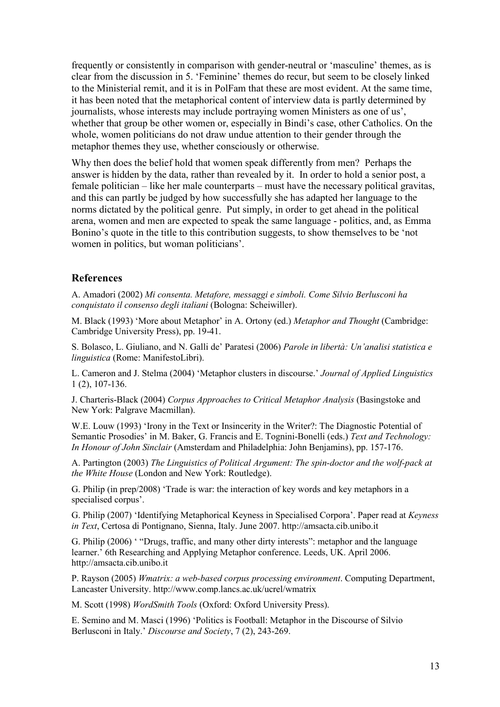frequently or consistently in comparison with gender-neutral or 'masculine' themes, as is clear from the discussion in 5. 'Feminine' themes do recur, but seem to be closely linked to the Ministerial remit, and it is in PolFam that these are most evident. At the same time, it has been noted that the metaphorical content of interview data is partly determined by journalists, whose interests may include portraying women Ministers as one of us', whether that group be other women or, especially in Bindi's case, other Catholics. On the whole, women politicians do not draw undue attention to their gender through the metaphor themes they use, whether consciously or otherwise.

Why then does the belief hold that women speak differently from men? Perhaps the answer is hidden by the data, rather than revealed by it. In order to hold a senior post, a female politician – like her male counterparts – must have the necessary political gravitas, and this can partly be judged by how successfully she has adapted her language to the norms dictated by the political genre. Put simply, in order to get ahead in the political arena, women and men are expected to speak the same language - politics, and, as Emma Bonino's quote in the title to this contribution suggests, to show themselves to be 'not women in politics, but woman politicians'.

## **References**

A. Amadori (2002) Mi consenta. Metafore, messaggi e simboli. Come Silvio Berlusconi ha conquistato il consenso degli italiani (Bologna: Scheiwiller).

M. Black (1993) 'More about Metaphor' in A. Ortony (ed.) Metaphor and Thought (Cambridge: Cambridge University Press), pp. 19-41.

S. Bolasco, L. Giuliano, and N. Galli de' Paratesi (2006) Parole in libertà: Un'analisi statistica e linguistica (Rome: ManifestoLibri).

L. Cameron and J. Stelma (2004) 'Metaphor clusters in discourse.' Journal of Applied Linguistics  $1(2)$ , 107-136.

J. Charteris-Black (2004) Corpus Approaches to Critical Metaphor Analysis (Basingstoke and New York: Palgrave Macmillan).

W.E. Louw (1993) 'Irony in the Text or Insincerity in the Writer?: The Diagnostic Potential of Semantic Prosodies' in M. Baker, G. Francis and E. Tognini-Bonelli (eds.) Text and Technology: In Honour of John Sinclair (Amsterdam and Philadelphia: John Benjamins), pp. 157-176.

A. Partington (2003) The Linguistics of Political Argument: The spin-doctor and the wolf-pack at the White House (London and New York: Routledge).

G. Philip (in prep/2008) 'Trade is war: the interaction of key words and key metaphors in a specialised corpus'.

G. Philip (2007) 'Identifying Metaphorical Keyness in Specialised Corpora'. Paper read at Keyness in Text, Certosa di Pontignano, Sienna, Italy. June 2007. http://amsacta.cib.unibo.it

G. Philip (2006) ' "Drugs, traffic, and many other dirty interests": metaphor and the language learner.' 6th Researching and Applying Metaphor conference. Leeds, UK. April 2006. http://amsacta.cib.unibo.it

P. Rayson (2005) Wmatrix: a web-based corpus processing environment. Computing Department, Lancaster University. http://www.comp.lancs.ac.uk/ucrel/wmatrix

M. Scott (1998) WordSmith Tools (Oxford: Oxford University Press).

E. Semino and M. Masci (1996) 'Politics is Football: Metaphor in the Discourse of Silvio Berlusconi in Italy.' Discourse and Society, 7 (2), 243-269.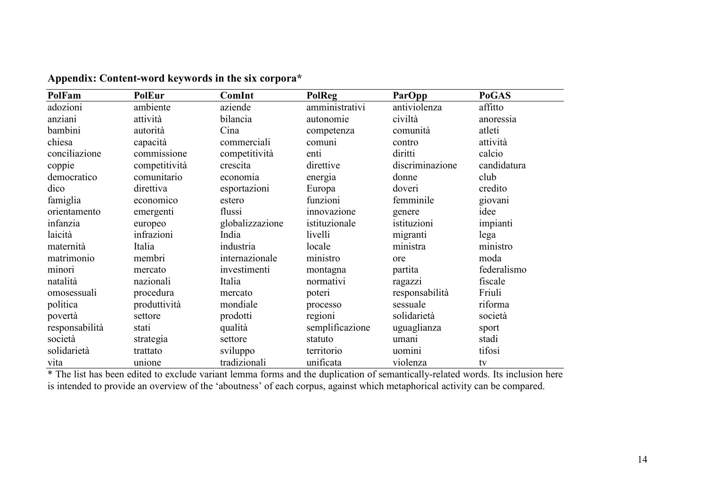| PolFam         | <b>PolEur</b> | ComInt          | <b>PolReg</b>   | ParOpp          | <b>PoGAS</b> |
|----------------|---------------|-----------------|-----------------|-----------------|--------------|
| adozioni       | ambiente      | aziende         | amministrativi  | antiviolenza    | affitto      |
| anziani        | attività      | bilancia        | autonomie       | civiltà         | anoressia    |
| bambini        | autorità      | Cina            | competenza      | comunità        | atleti       |
| chiesa         | capacità      | commerciali     | comuni          | contro          | attività     |
| conciliazione  | commissione   | competitività   | enti            | diritti         | calcio       |
| coppie         | competitività | crescita        | direttive       | discriminazione | candidatura  |
| democratico    | comunitario   | economia        | energia         | donne           | club         |
| dico           | direttiva     | esportazioni    | Europa          | doveri          | credito      |
| famiglia       | economico     | estero          | funzioni        | femminile       | giovani      |
| orientamento   | emergenti     | flussi          | innovazione     | genere          | idee         |
| infanzia       | europeo       | globalizzazione | istituzionale   | istituzioni     | impianti     |
| laicità        | infrazioni    | India           | livelli         | migranti        | lega         |
| maternità      | Italia        | industria       | locale          | ministra        | ministro     |
| matrimonio     | membri        | internazionale  | ministro        | ore             | moda         |
| minori         | mercato       | investimenti    | montagna        | partita         | federalismo  |
| natalità       | nazionali     | Italia          | normativi       | ragazzi         | fiscale      |
| omosessuali    | procedura     | mercato         | poteri          | responsabilità  | Friuli       |
| politica       | produttività  | mondiale        | processo        | sessuale        | riforma      |
| povertà        | settore       | prodotti        | regioni         | solidarietà     | società      |
| responsabilità | stati         | qualità         | semplificazione | uguaglianza     | sport        |
| società        | strategia     | settore         | statuto         | umanı           | stadi        |
| solidarietà    | trattato      | sviluppo        | territorio      | uomini          | tifosi       |
| vita           | unione        | tradizionali    | unificata       | violenza        | tv           |

Appendix: Content-word keywords in the six corpora\*

\* The list has been edited to exclude variant lemma forms and the duplication of semantically-related words. Its inclusion here is intended to provide an overview of the 'aboutness' of each corpus, against which metaphoric